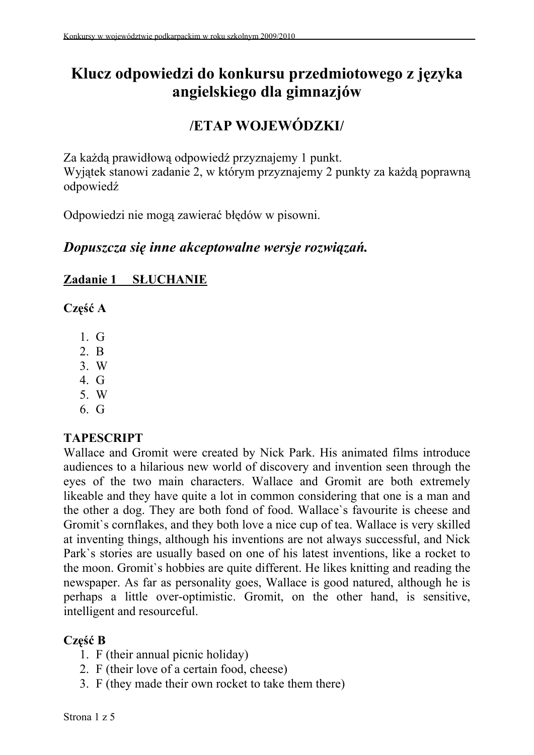# **Klucz odpowiedzi do konkursu przedmiotowego z języka angielskiego dla gimnazjów**

# **/ETAP WOJEWÓDZKI/**

Za każdą prawidłową odpowiedź przyznajemy 1 punkt. Wyjątek stanowi zadanie 2, w którym przyznajemy 2 punkty za każdą poprawną odpowiedź

Odpowiedzi nie mogą zawierać błędów w pisowni.

### *Dopuszcza się inne akceptowalne wersje rozwiązań.*

#### **Zadanie 1 SŁUCHANIE**

**Część A** 

- 1. G
- 2. B
- 3. W
- 4. G
- 5. W
- 6. G

#### **TAPESCRIPT**

Wallace and Gromit were created by Nick Park. His animated films introduce audiences to a hilarious new world of discovery and invention seen through the eyes of the two main characters. Wallace and Gromit are both extremely likeable and they have quite a lot in common considering that one is a man and the other a dog. They are both fond of food. Wallace`s favourite is cheese and Gromit`s cornflakes, and they both love a nice cup of tea. Wallace is very skilled at inventing things, although his inventions are not always successful, and Nick Park`s stories are usually based on one of his latest inventions, like a rocket to the moon. Gromit`s hobbies are quite different. He likes knitting and reading the newspaper. As far as personality goes, Wallace is good natured, although he is perhaps a little over-optimistic. Gromit, on the other hand, is sensitive, intelligent and resourceful.

#### **Część B**

- 1. F (their annual picnic holiday)
- 2. F (their love of a certain food, cheese)
- 3. F (they made their own rocket to take them there)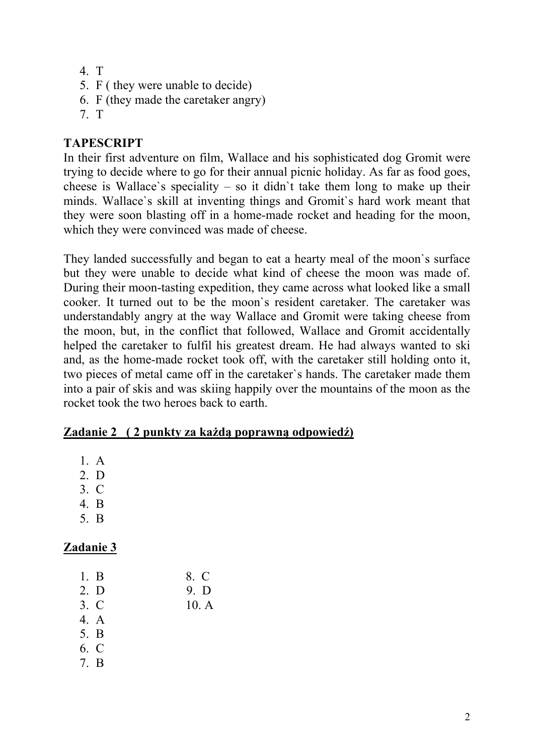- 4. T
- 5. F ( they were unable to decide)
- 6. F (they made the caretaker angry)
- 7. T

#### **TAPESCRIPT**

In their first adventure on film, Wallace and his sophisticated dog Gromit were trying to decide where to go for their annual picnic holiday. As far as food goes, cheese is Wallace's speciality – so it didn't take them long to make up their minds. Wallace`s skill at inventing things and Gromit`s hard work meant that they were soon blasting off in a home-made rocket and heading for the moon, which they were convinced was made of cheese.

They landed successfully and began to eat a hearty meal of the moon`s surface but they were unable to decide what kind of cheese the moon was made of. During their moon-tasting expedition, they came across what looked like a small cooker. It turned out to be the moon`s resident caretaker. The caretaker was understandably angry at the way Wallace and Gromit were taking cheese from the moon, but, in the conflict that followed, Wallace and Gromit accidentally helped the caretaker to fulfil his greatest dream. He had always wanted to ski and, as the home-made rocket took off, with the caretaker still holding onto it, two pieces of metal came off in the caretaker`s hands. The caretaker made them into a pair of skis and was skiing happily over the mountains of the moon as the rocket took the two heroes back to earth.

#### **Zadanie 2 ( 2 punkty za każdą poprawną odpowiedź)**

- 1. A
- 2. D
- 3. C
- 4. B
- 5. B

| 1. B | 8. C |
|------|------|
| 2. D | 9. D |
| 3. C | 10.A |
| 4. A |      |
| 5. B |      |
| 6. C |      |
| 7. B |      |
|      |      |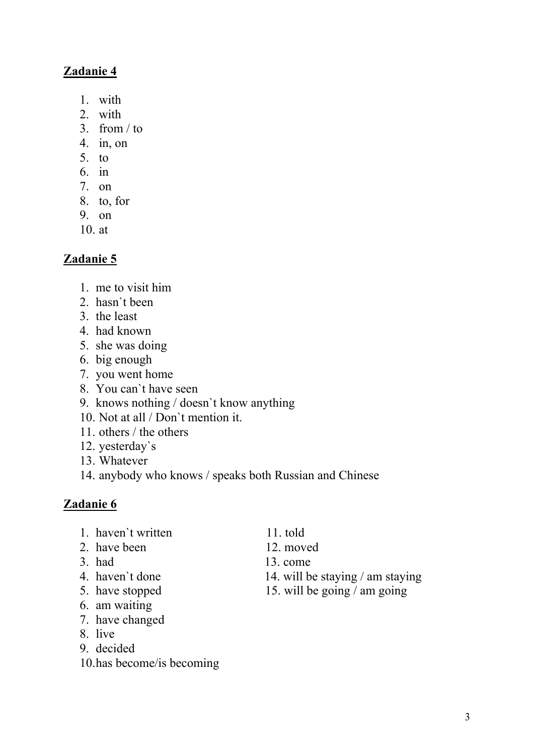### **Zadanie 4**

- 1. with
- 2. with
- 3. from  $/$  to
- 4. in, on
- 5. to
- 6. in
- 7. on
- 8. to, for
- 9. on
- 10. at

#### **Zadanie 5**

- 1. me to visit him
- 2. hasn`t been
- 3. the least
- 4. had known
- 5. she was doing
- 6. big enough
- 7. you went home
- 8. You can`t have seen
- 9. knows nothing / doesn`t know anything
- 10. Not at all / Don`t mention it.
- 11. others / the others
- 12. yesterday`s
- 13. Whatever
- 14. anybody who knows / speaks both Russian and Chinese

- 1. haven`t written 11. told
- 2. have been 12. moved
- 
- 
- 
- 6. am waiting
- 7. have changed
- 8. live
- 9. decided
- 10.has become/is becoming
- 
- 
- 3. had 13. come
- 4. haven't done 14. will be staying / am staying
- 5. have stopped 15. will be going / am going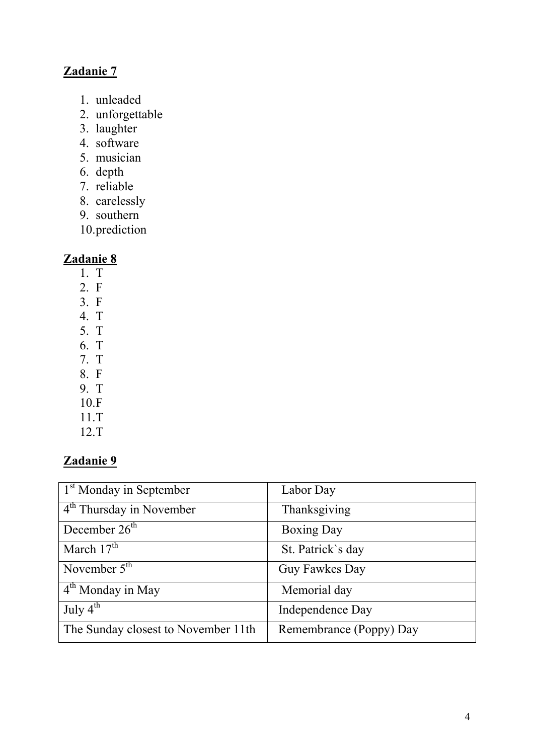## **Zadanie 7**

- 1. unleaded
- 2. unforgettable
- 3. laughter
- 4. software
- 5. musician
- 6. depth
- 7. reliable
- 8. carelessly
- 9. southern
- 10.prediction

### **Zadanie 8**

- 1. T
- 2. F
- 3. F
- 4. T
- 5. T
- 6. T
- 7. T
- 8. F 9. T
- 10.F
- 11.T
- 12.T

| $1st$ Monday in September             | Labor Day               |
|---------------------------------------|-------------------------|
| $4th$ Thursday in November            | Thanksgiving            |
| December $26th$                       | <b>Boxing Day</b>       |
| March $17th$                          | St. Patrick's day       |
| November $5th$                        | Guy Fawkes Day          |
| $\vert$ 4 <sup>th</sup> Monday in May | Memorial day            |
| July $4^{th}$                         | Independence Day        |
| The Sunday closest to November 11th   | Remembrance (Poppy) Day |